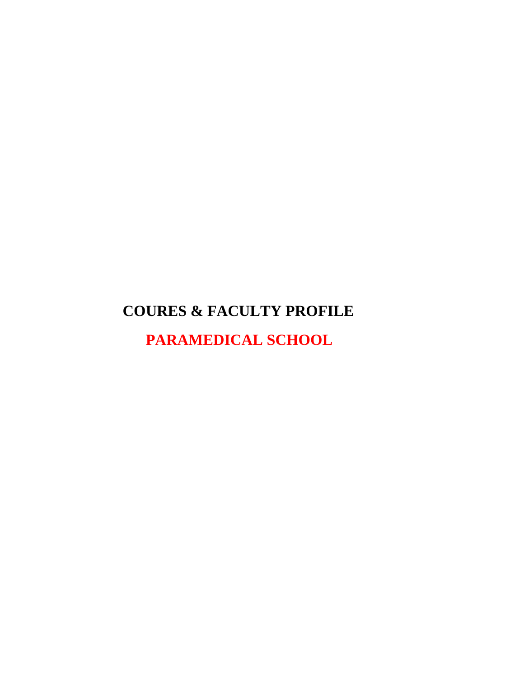# **COURES & FACULTY PROFILE**

 **PARAMEDICAL SCHOOL**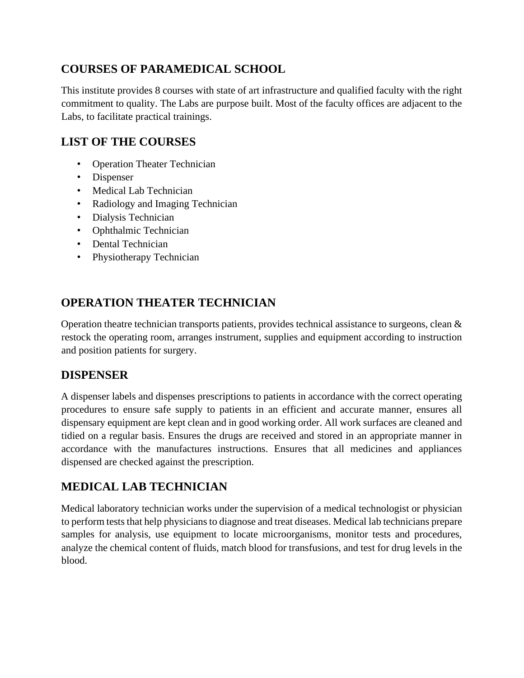## **COURSES OF PARAMEDICAL SCHOOL**

This institute provides 8 courses with state of art infrastructure and qualified faculty with the right commitment to quality. The Labs are purpose built. Most of the faculty offices are adjacent to the Labs, to facilitate practical trainings.

### **LIST OF THE COURSES**

- Operation Theater Technician
- Dispenser
- Medical Lab Technician
- Radiology and Imaging Technician
- Dialysis Technician
- Ophthalmic Technician
- Dental Technician
- Physiotherapy Technician

## **OPERATION THEATER TECHNICIAN**

Operation theatre technician transports patients, provides technical assistance to surgeons, clean & restock the operating room, arranges instrument, supplies and equipment according to instruction and position patients for surgery.

#### **DISPENSER**

A dispenser labels and dispenses prescriptions to patients in accordance with the correct operating procedures to ensure safe supply to patients in an efficient and accurate manner, ensures all dispensary equipment are kept clean and in good working order. All work surfaces are cleaned and tidied on a regular basis. Ensures the drugs are received and stored in an appropriate manner in accordance with the manufactures instructions. Ensures that all medicines and appliances dispensed are checked against the prescription.

### **MEDICAL LAB TECHNICIAN**

Medical laboratory technician works under the supervision of a medical technologist or physician to perform tests that help physicians to diagnose and treat diseases. Medical lab technicians prepare samples for analysis, use equipment to locate microorganisms, monitor tests and procedures, analyze the chemical content of fluids, match blood for transfusions, and test for drug levels in the blood.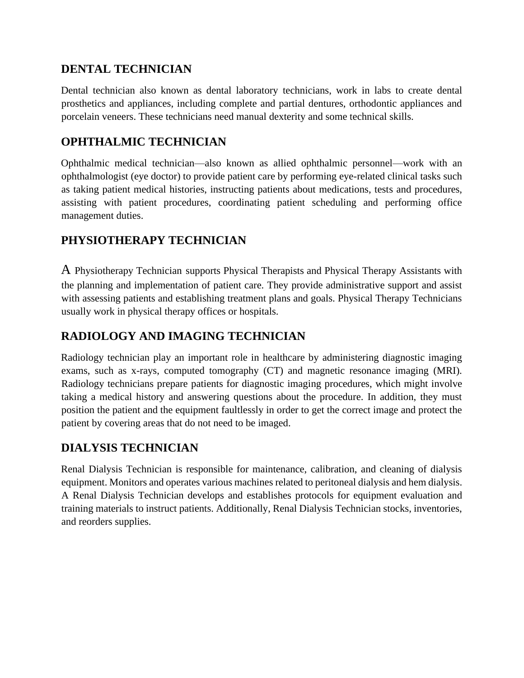### **DENTAL TECHNICIAN**

Dental technician also known as dental laboratory technicians, work in labs to create dental prosthetics and appliances, including complete and partial dentures, orthodontic appliances and porcelain veneers. These technicians need manual dexterity and some technical skills.

#### **OPHTHALMIC TECHNICIAN**

Ophthalmic medical technician—also known as allied ophthalmic personnel—work with an ophthalmologist (eye doctor) to provide patient care by performing eye-related clinical tasks such as taking patient medical histories, instructing patients about medications, tests and procedures, assisting with patient procedures, coordinating patient scheduling and performing office management duties.

### **PHYSIOTHERAPY TECHNICIAN**

A Physiotherapy Technician supports Physical Therapists and Physical Therapy Assistants with the planning and implementation of patient care. They provide administrative support and assist with assessing patients and establishing treatment plans and goals. Physical Therapy Technicians usually work in physical therapy offices or hospitals.

### **RADIOLOGY AND IMAGING TECHNICIAN**

Radiology technician play an important role in healthcare by administering diagnostic imaging exams, such as x-rays, computed tomography (CT) and magnetic resonance imaging (MRI). Radiology technicians prepare patients for diagnostic imaging procedures, which might involve taking a medical history and answering questions about the procedure. In addition, they must position the patient and the equipment faultlessly in order to get the correct image and protect the patient by covering areas that do not need to be imaged.

### **DIALYSIS TECHNICIAN**

Renal Dialysis Technician is responsible for maintenance, calibration, and cleaning of dialysis equipment. Monitors and operates various machines related to peritoneal dialysis and hem dialysis. A Renal Dialysis Technician develops and establishes protocols for equipment evaluation and training materials to instruct patients. Additionally, Renal Dialysis Technician stocks, inventories, and reorders supplies.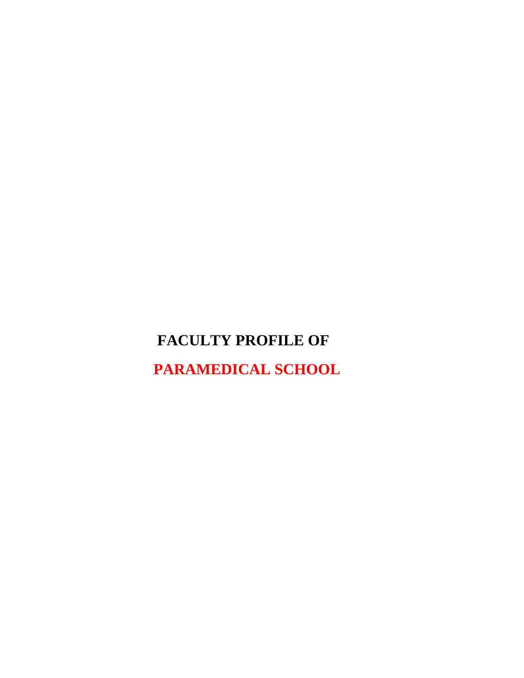# **FACULTY PROFILE OF**

 **PARAMEDICAL SCHOOL**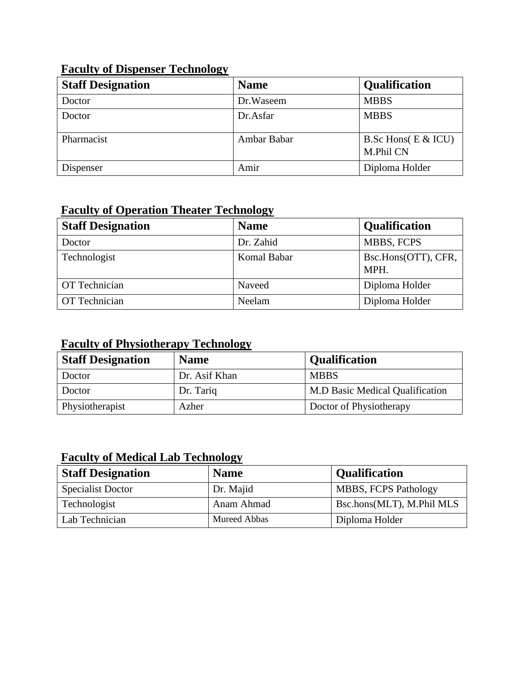## **Faculty of Dispenser Technology**

| <b>Staff Designation</b> | <b>Name</b> | Qualification                      |
|--------------------------|-------------|------------------------------------|
| Doctor                   | Dr.Waseem   | <b>MBBS</b>                        |
| Doctor                   | Dr.Asfar    | <b>MBBS</b>                        |
| Pharmacist               | Ambar Babar | B.Sc Hons( $E & U$ U)<br>M.Phil CN |
| Dispenser                | Amir        | Diploma Holder                     |

### **Faculty of Operation Theater Technology**

| <b>Staff Designation</b> | <b>Name</b> | <b>Qualification</b>        |
|--------------------------|-------------|-----------------------------|
| Doctor                   | Dr. Zahid   | MBBS, FCPS                  |
| Technologist             | Komal Babar | Bsc.Hons(OTT), CFR,<br>MPH. |
| <b>OT</b> Technician     | Naveed      | Diploma Holder              |
| <b>OT</b> Technician     | Neelam      | Diploma Holder              |

### **Faculty of Physiotherapy Technology**

| <b>Staff Designation</b> | <b>Name</b>   | <b>Qualification</b>                   |
|--------------------------|---------------|----------------------------------------|
| Doctor                   | Dr. Asif Khan | <b>MBBS</b>                            |
| Doctor                   | Dr. Tariq     | <b>M.D Basic Medical Qualification</b> |
| Physiotherapist          | Azher         | Doctor of Physiotherapy                |

### **Faculty of Medical Lab Technology**

| <b>Staff Designation</b> | <b>Name</b>  | <b>Qualification</b>        |
|--------------------------|--------------|-----------------------------|
| <b>Specialist Doctor</b> | Dr. Majid    | <b>MBBS, FCPS Pathology</b> |
| Technologist             | Anam Ahmad   | Bsc.hons(MLT), M.Phil MLS   |
| Lab Technician           | Mureed Abbas | Diploma Holder              |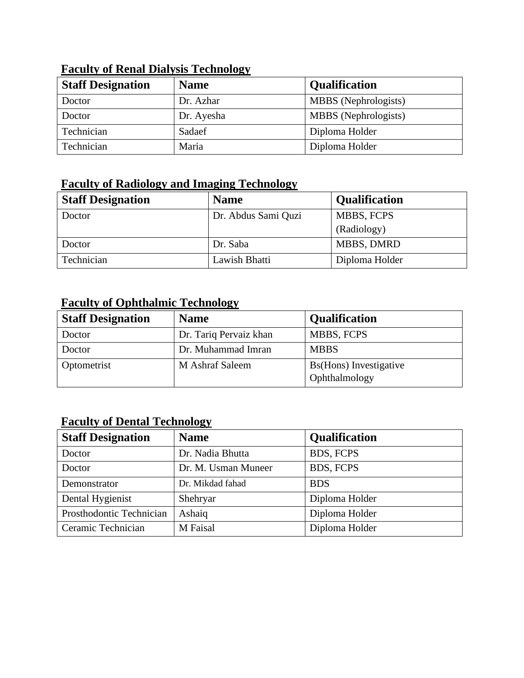| <b>Staff Designation</b> | <b>Name</b> | <b>Qualification</b>        |
|--------------------------|-------------|-----------------------------|
| Doctor                   | Dr. Azhar   | MBBS (Nephrologists)        |
| Doctor                   | Dr. Ayesha  | <b>MBBS</b> (Nephrologists) |
| Technician               | Sadaef      | Diploma Holder              |
| Technician               | Maria       | Diploma Holder              |

#### **Faculty of Renal Dialysis Technology**

### **Faculty of Radiology and Imaging Technology**

| <b>Staff Designation</b> | <b>Name</b>         | <b>Qualification</b> |
|--------------------------|---------------------|----------------------|
| Doctor                   | Dr. Abdus Sami Quzi | <b>MBBS, FCPS</b>    |
|                          |                     | (Radiology)          |
| Doctor                   | Dr. Saba            | <b>MBBS, DMRD</b>    |
| Technician               | Lawish Bhatti       | Diploma Holder       |

## **Faculty of Ophthalmic Technology**

| <b>Staff Designation</b> | <b>Name</b>            | <b>Qualification</b>   |
|--------------------------|------------------------|------------------------|
| Doctor                   | Dr. Tariq Pervaiz khan | <b>MBBS, FCPS</b>      |
| Doctor                   | Dr. Muhammad Imran     | <b>MBBS</b>            |
| Optometrist              | M Ashraf Saleem        | Bs(Hons) Investigative |
|                          |                        | Ophthalmology          |

## **Faculty of Dental Technology**

| <b>Staff Designation</b> | <b>Name</b>         | <b>Qualification</b> |
|--------------------------|---------------------|----------------------|
| Doctor                   | Dr. Nadia Bhutta    | <b>BDS, FCPS</b>     |
| Doctor                   | Dr. M. Usman Muneer | <b>BDS, FCPS</b>     |
| Demonstrator             | Dr. Mikdad fahad    | <b>BDS</b>           |
| Dental Hygienist         | Shehryar            | Diploma Holder       |
| Prosthodontic Technician | Ashaiq              | Diploma Holder       |
| Ceramic Technician       | M Faisal            | Diploma Holder       |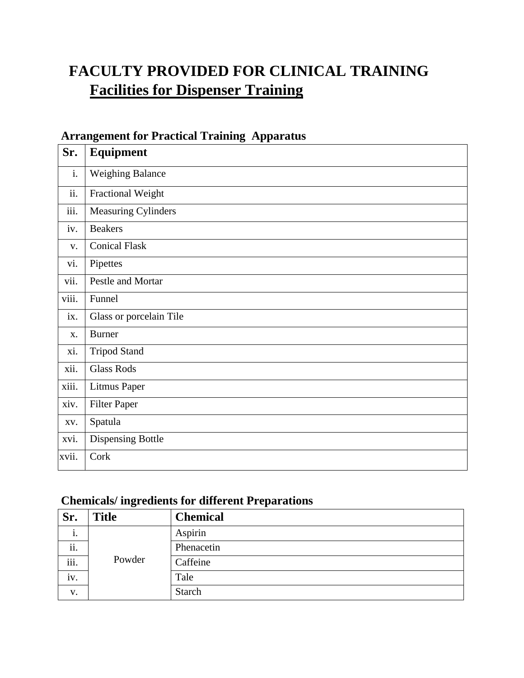# **FACULTY PROVIDED FOR CLINICAL TRAINING Facilities for Dispenser Training**

### **Arrangement for Practical Training Apparatus**

| Sr.   | Equipment                  |
|-------|----------------------------|
| i.    | <b>Weighing Balance</b>    |
| ii.   | Fractional Weight          |
| iii.  | <b>Measuring Cylinders</b> |
| iv.   | <b>Beakers</b>             |
| V.    | <b>Conical Flask</b>       |
| vi.   | Pipettes                   |
| vii.  | Pestle and Mortar          |
| viii. | Funnel                     |
| ix.   | Glass or porcelain Tile    |
| X.    | <b>Burner</b>              |
| xi.   | <b>Tripod Stand</b>        |
| xii.  | <b>Glass Rods</b>          |
| xiii. | <b>Litmus Paper</b>        |
| xiv.  | <b>Filter Paper</b>        |
| XV.   | Spatula                    |
| xvi.  | <b>Dispensing Bottle</b>   |
| xvii. | Cork                       |

### **Chemicals/ ingredients for different Preparations**

| Sr.                       | <b>Title</b> | <b>Chemical</b> |
|---------------------------|--------------|-----------------|
| 1.                        |              | Aspirin         |
| ii.                       |              | Phenacetin      |
| $\overline{\text{iii}}$ . | Powder       | Caffeine        |
| iv.                       |              | Tale            |
| V.                        |              | <b>Starch</b>   |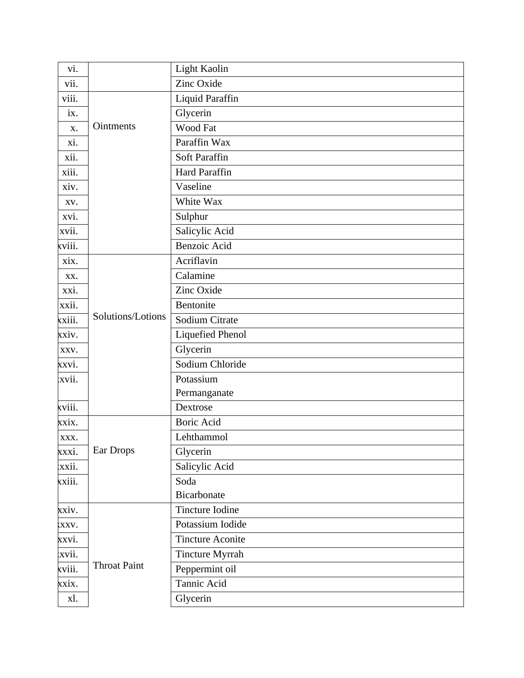| vi.    |                     | Light Kaolin            |
|--------|---------------------|-------------------------|
| vii.   |                     | Zinc Oxide              |
| viii.  |                     | Liquid Paraffin         |
| ix.    |                     | Glycerin                |
| X.     | Ointments           | Wood Fat                |
| xi.    |                     | Paraffin Wax            |
| xii.   |                     | Soft Paraffin           |
| xiii.  |                     | <b>Hard Paraffin</b>    |
| xiv.   |                     | Vaseline                |
| XV.    |                     | White Wax               |
| xvi.   |                     | Sulphur                 |
| xvii.  |                     | Salicylic Acid          |
| xviii. |                     | Benzoic Acid            |
| xix.   |                     | Acriflavin              |
| XX.    |                     | Calamine                |
| xxi.   |                     | Zinc Oxide              |
| xxii.  |                     | Bentonite               |
| xxiii. | Solutions/Lotions   | Sodium Citrate          |
| xxiv.  |                     | <b>Liquefied Phenol</b> |
| XXV.   |                     | Glycerin                |
| xxvi.  |                     | Sodium Chloride         |
| xvii.  |                     | Potassium               |
|        |                     | Permanganate            |
| xviii. |                     | Dextrose                |
| xxix.  |                     | <b>Boric Acid</b>       |
| XXX.   |                     | Lehthammol              |
| xxxi.  | Ear Drops           | Glycerin                |
| xxii.  |                     | Salicylic Acid          |
| xxiii. |                     | Soda                    |
|        |                     | Bicarbonate             |
| xxiv.  |                     | Tincture Iodine         |
| XXV.   |                     | Potassium Iodide        |
| xxvi.  |                     | <b>Tincture Aconite</b> |
| xvii.  |                     | <b>Tincture Myrrah</b>  |
| xviii. | <b>Throat Paint</b> | Peppermint oil          |
| xxix.  |                     | Tannic Acid             |
| xl.    |                     | Glycerin                |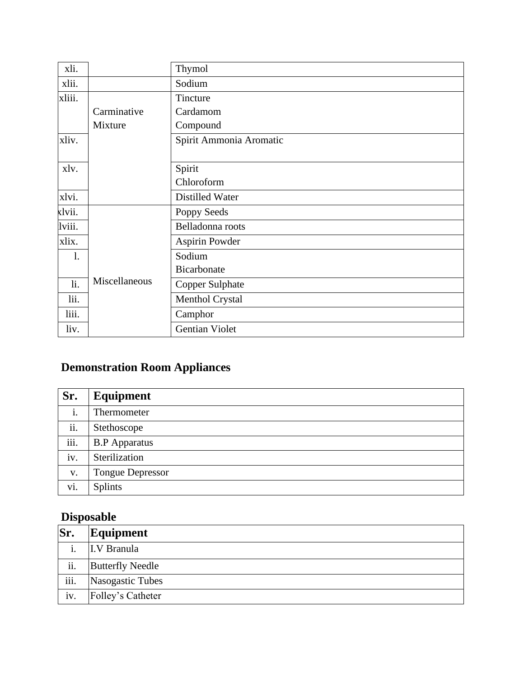| xli.           |               | Thymol                  |
|----------------|---------------|-------------------------|
| xlii.          |               | Sodium                  |
| xliii.         |               | Tincture                |
|                | Carminative   | Cardamom                |
|                | Mixture       | Compound                |
| xliv.          |               | Spirit Ammonia Aromatic |
|                |               |                         |
| xlv.           |               | Spirit                  |
|                |               | Chloroform              |
| xlvi.          |               | Distilled Water         |
| xlvii.         |               | Poppy Seeds             |
| lviii.         |               | Belladonna roots        |
| xlix.          |               | <b>Aspirin Powder</b>   |
| $\mathbf{1}$ . |               | Sodium                  |
|                |               | <b>Bicarbonate</b>      |
| li.            | Miscellaneous | <b>Copper Sulphate</b>  |
| lii.           |               | Menthol Crystal         |
| liii.          |               | Camphor                 |
| liv.           |               | <b>Gentian Violet</b>   |

## **Demonstration Room Appliances**

| Sr.            | Equipment               |
|----------------|-------------------------|
| i.             | Thermometer             |
| ii.            | Stethoscope             |
| iii.           | <b>B.P</b> Apparatus    |
| iv.            | Sterilization           |
| $\mathbf{V}$ . | <b>Tongue Depressor</b> |
| vi.            | Splints                 |

## **Disposable**

| Sr.  | Equipment               |
|------|-------------------------|
|      | I.V Branula             |
| ii.  | <b>Butterfly Needle</b> |
| iii. | Nasogastic Tubes        |
| iv.  | Folley's Catheter       |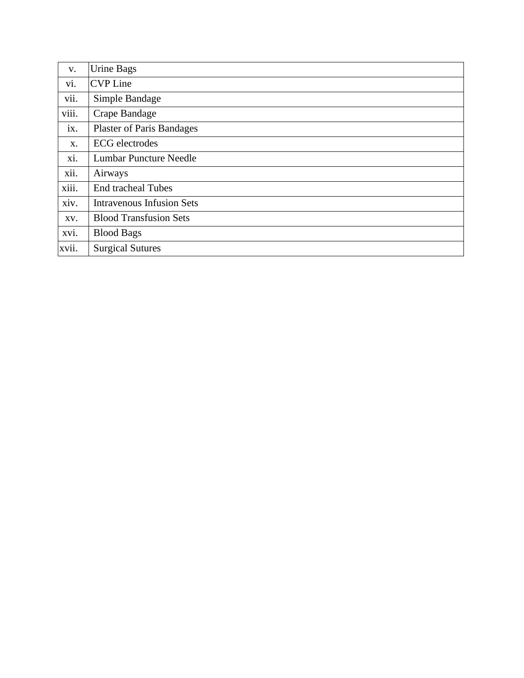| V.    | Urine Bags                       |
|-------|----------------------------------|
| vi.   | <b>CVP</b> Line                  |
| vii.  | Simple Bandage                   |
| viii. | Crape Bandage                    |
| ix.   | <b>Plaster of Paris Bandages</b> |
| X.    | <b>ECG</b> electrodes            |
| xi.   | <b>Lumbar Puncture Needle</b>    |
| xii.  | Airways                          |
| xiii. | <b>End tracheal Tubes</b>        |
| xiv.  | <b>Intravenous Infusion Sets</b> |
| XV.   | <b>Blood Transfusion Sets</b>    |
| xvi.  | <b>Blood Bags</b>                |
| xvii. | <b>Surgical Sutures</b>          |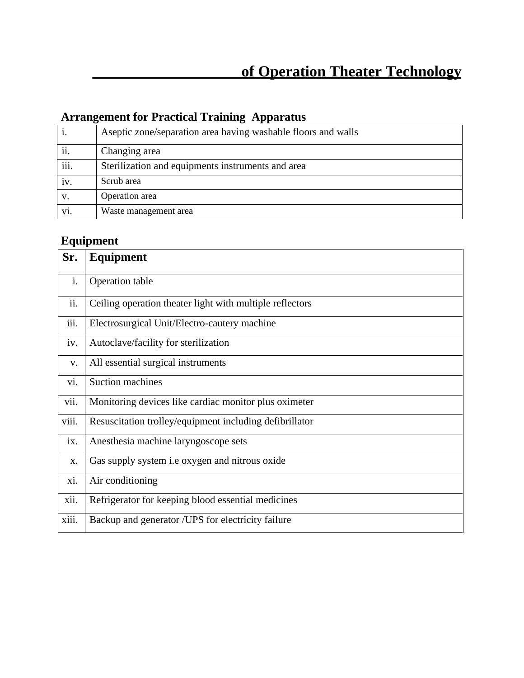## **Arrangement for Practical Training Apparatus**

|      | Aseptic zone/separation area having washable floors and walls |
|------|---------------------------------------------------------------|
| ii.  | Changing area                                                 |
| iii. | Sterilization and equipments instruments and area             |
| iv.  | Scrub area                                                    |
| V.   | Operation area                                                |
| vi.  | Waste management area                                         |

## **Equipment**

| Sr.   | Equipment                                                |
|-------|----------------------------------------------------------|
| i.    | Operation table                                          |
| ii.   | Ceiling operation theater light with multiple reflectors |
| iii.  | Electrosurgical Unit/Electro-cautery machine             |
| iv.   | Autoclave/facility for sterilization                     |
| V.    | All essential surgical instruments                       |
| vi.   | <b>Suction machines</b>                                  |
| vii.  | Monitoring devices like cardiac monitor plus oximeter    |
| viii. | Resuscitation trolley/equipment including defibrillator  |
| ix.   | Anesthesia machine laryngoscope sets                     |
| X.    | Gas supply system i.e oxygen and nitrous oxide           |
| xi.   | Air conditioning                                         |
| xii.  | Refrigerator for keeping blood essential medicines       |
| xiii. | Backup and generator /UPS for electricity failure        |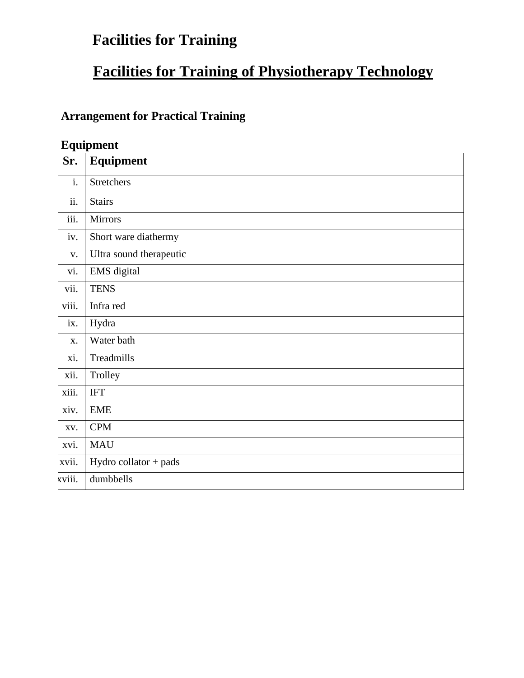# **Facilities for Training**

# **Facilities for Training of Physiotherapy Technology**

## **Arrangement for Practical Training**

## **Equipment**

| Sr.            | Equipment               |
|----------------|-------------------------|
| i.             | <b>Stretchers</b>       |
| ii.            | <b>Stairs</b>           |
| iii.           | <b>Mirrors</b>          |
| iv.            | Short ware diathermy    |
| $\mathbf{V}$ . | Ultra sound therapeutic |
| vi.            | EMS digital             |
| vii.           | <b>TENS</b>             |
| viii.          | Infra red               |
| ix.            | Hydra                   |
| X.             | Water bath              |
| xi.            | Treadmills              |
| xii.           | Trolley                 |
| xiii.          | <b>IFT</b>              |
| xiv.           | <b>EME</b>              |
| XV.            | <b>CPM</b>              |
| xvi.           | <b>MAU</b>              |
| xvii.          | Hydro collator + pads   |
| xviii.         | dumbbells               |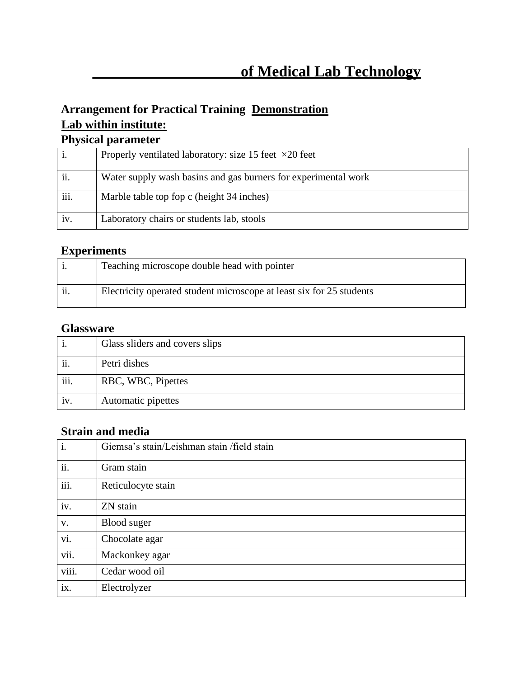## **Arrangement for Practical Training Demonstration Lab within institute:**

### **Physical parameter**

|      | Properly ventilated laboratory: size 15 feet $\times 20$ feet  |
|------|----------------------------------------------------------------|
| ii.  | Water supply wash basins and gas burners for experimental work |
| iii. | Marble table top fop c (height 34 inches)                      |
| iv.  | Laboratory chairs or students lab, stools                      |

## **Experiments**

|     | Teaching microscope double head with pointer                         |
|-----|----------------------------------------------------------------------|
| ii. | Electricity operated student microscope at least six for 25 students |

#### **Glassware**

| 1.   | Glass sliders and covers slips |
|------|--------------------------------|
| ii.  | Petri dishes                   |
| iii. | RBC, WBC, Pipettes             |
| iv.  | Automatic pipettes             |

## **Strain and media**

| $\overline{\mathbf{i}}$ . | Giemsa's stain/Leishman stain / field stain |
|---------------------------|---------------------------------------------|
| ii.                       | Gram stain                                  |
| $\overline{\text{iii}}$ . | Reticulocyte stain                          |
| iv.                       | ZN stain                                    |
| $V_{\bullet}$             | Blood suger                                 |
| vi.                       | Chocolate agar                              |
| vii.                      | Mackonkey agar                              |
| viii.                     | Cedar wood oil                              |
| ix.                       | Electrolyzer                                |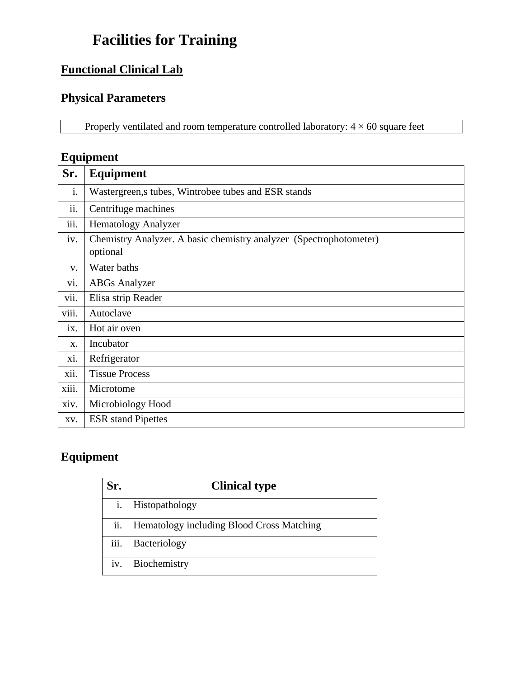# **Facilities for Training**

## **Functional Clinical Lab**

### **Physical Parameters**

Properly ventilated and room temperature controlled laboratory:  $4 \times 60$  square feet

## **Equipment**

| Sr.               | <b>Equipment</b>                                                               |
|-------------------|--------------------------------------------------------------------------------|
| i.                | Wastergreen, stubes, Wintrobee tubes and ESR stands                            |
| ii.               | Centrifuge machines                                                            |
| iii.              | <b>Hematology Analyzer</b>                                                     |
| iv.               | Chemistry Analyzer. A basic chemistry analyzer (Spectrophotometer)<br>optional |
| V.                | Water baths                                                                    |
| vi.               | <b>ABGs Analyzer</b>                                                           |
| vii.              | Elisa strip Reader                                                             |
| viii.             | Autoclave                                                                      |
| $\overline{1}X$ . | Hot air oven                                                                   |
| X.                | Incubator                                                                      |
| xi.               | Refrigerator                                                                   |
| xii.              | <b>Tissue Process</b>                                                          |
| xiii.             | Microtome                                                                      |
| xiv.              | Microbiology Hood                                                              |
| XV.               | <b>ESR</b> stand Pipettes                                                      |

## **Equipment**

| Sr.            | <b>Clinical type</b>                      |
|----------------|-------------------------------------------|
| $\mathbf{1}$ . | Histopathology                            |
| ii.            | Hematology including Blood Cross Matching |
| iii.           | Bacteriology                              |
| iv.            | Biochemistry                              |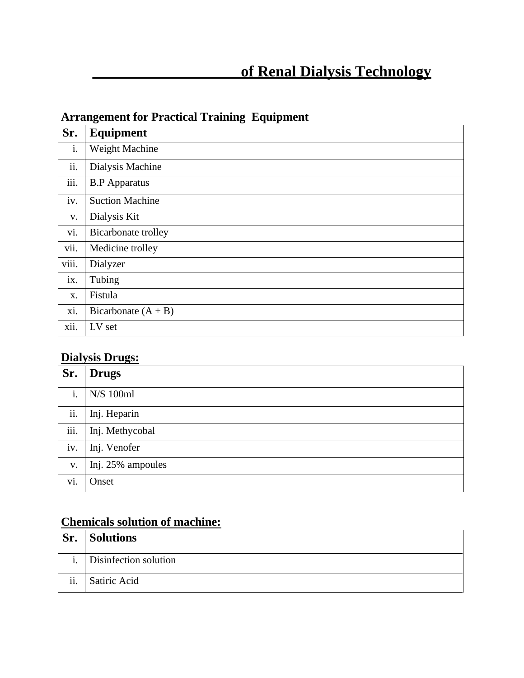# **of Renal Dialysis Technology**

## **Arrangement for Practical Training Equipment**

| Sr.   | <b>Equipment</b>           |
|-------|----------------------------|
| i.    | Weight Machine             |
| ii.   | Dialysis Machine           |
| iii.  | <b>B.P</b> Apparatus       |
| iv.   | <b>Suction Machine</b>     |
| V.    | Dialysis Kit               |
| vi.   | <b>Bicarbonate</b> trolley |
| vii.  | Medicine trolley           |
| viii. | Dialyzer                   |
| ix.   | Tubing                     |
| X.    | Fistula                    |
| xi.   | Bicarbonate $(A + B)$      |
| xii.  | I.V set                    |

## **Dialysis Drugs:**

| Sr.            | <b>Drugs</b>      |
|----------------|-------------------|
| i.             | N/S 100ml         |
| ii.            | Inj. Heparin      |
| iii.           | Inj. Methycobal   |
| iv.            | Inj. Venofer      |
| $\mathbf{V}$ . | Inj. 25% ampoules |
| vi.            | Onset             |

## **Chemicals solution of machine:**

| Sr. | <b>Solutions</b>         |
|-----|--------------------------|
|     | i. Disinfection solution |
| ii. | Satiric Acid             |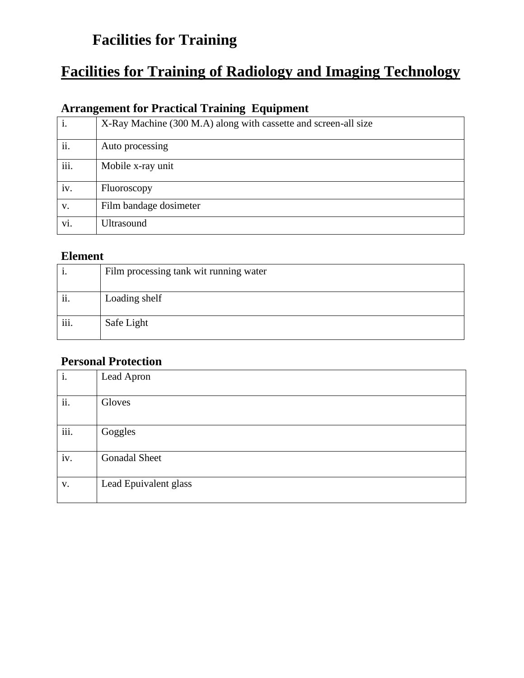# **Facilities for Training**

# **Facilities for Training of Radiology and Imaging Technology**

## **Arrangement for Practical Training Equipment**

| i.   | X-Ray Machine (300 M.A) along with cassette and screen-all size |
|------|-----------------------------------------------------------------|
| ii.  | Auto processing                                                 |
| iii. | Mobile x-ray unit                                               |
| iv.  | Fluoroscopy                                                     |
| V.   | Film bandage dosimeter                                          |
| vi.  | <b>Ultrasound</b>                                               |

#### **Element**

| 1.   | Film processing tank wit running water |
|------|----------------------------------------|
| ii.  | Loading shelf                          |
| iii. | Safe Light                             |

#### **Personal Protection**

| i.   | Lead Apron            |
|------|-----------------------|
| ii.  | Gloves                |
| iii. | Goggles               |
| iv.  | <b>Gonadal Sheet</b>  |
| V.   | Lead Epuivalent glass |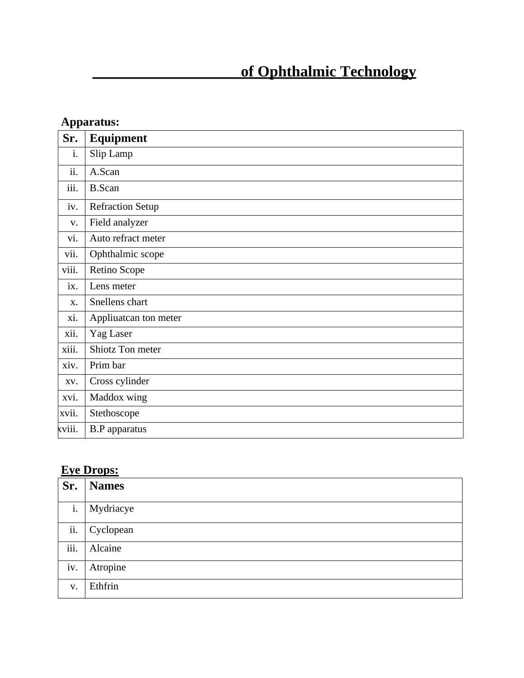# **of Ophthalmic Technology**

|        | Apparatus:              |  |
|--------|-------------------------|--|
| Sr.    | <b>Equipment</b>        |  |
| i.     | Slip Lamp               |  |
| ii.    | A.Scan                  |  |
| iii.   | <b>B.Scan</b>           |  |
| iv.    | <b>Refraction Setup</b> |  |
| V.     | Field analyzer          |  |
| vi.    | Auto refract meter      |  |
| vii.   | Ophthalmic scope        |  |
| viii.  | Retino Scope            |  |
| ix.    | Lens meter              |  |
| X.     | Snellens chart          |  |
| xi.    | Appliuatean ton meter   |  |
| xii.   | Yag Laser               |  |
| xiii.  | Shiotz Ton meter        |  |
| xiv.   | Prim bar                |  |
| XV.    | Cross cylinder          |  |
| xvi.   | Maddox wing             |  |
| xvii.  | Stethoscope             |  |
| xviii. | <b>B.P</b> apparatus    |  |

## **Eye Drops:**

| Sr.         | <b>Names</b> |
|-------------|--------------|
| i.          | Mydriacye    |
| ii.         | Cyclopean    |
| iii.        | Alcaine      |
| iv.         | Atropine     |
| $V_{\cdot}$ | Ethfrin      |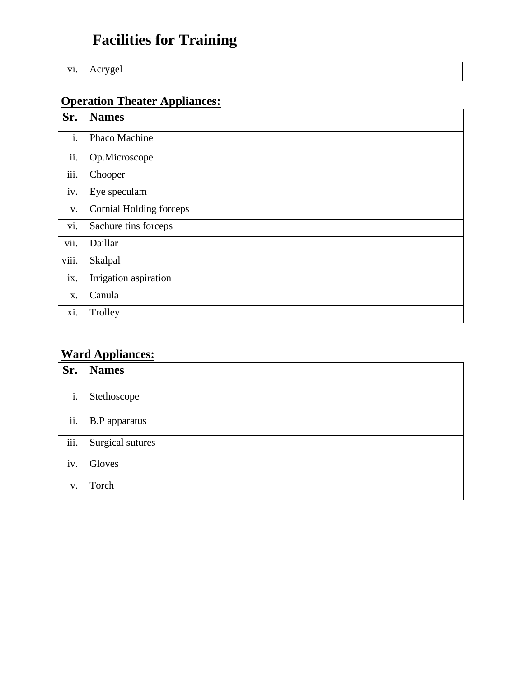# **Facilities for Training**

vi. Acrygel

# **Operation Theater Appliances:**

| Sr.   | <b>Names</b>            |
|-------|-------------------------|
| i.    | Phaco Machine           |
| ii.   | Op.Microscope           |
| iii.  | Chooper                 |
| iv.   | Eye speculam            |
| V.    | Cornial Holding forceps |
| vi.   | Sachure tins forceps    |
| vii.  | Daillar                 |
| viii. | Skalpal                 |
| ix.   | Irrigation aspiration   |
| X.    | Canula                  |
| xi.   | Trolley                 |

## **Ward Appliances:**

| Sr.  | <b>Names</b>         |
|------|----------------------|
|      |                      |
| i.   | Stethoscope          |
| ii.  | <b>B.P</b> apparatus |
| iii. | Surgical sutures     |
| iv.  | Gloves               |
| V.   | Torch                |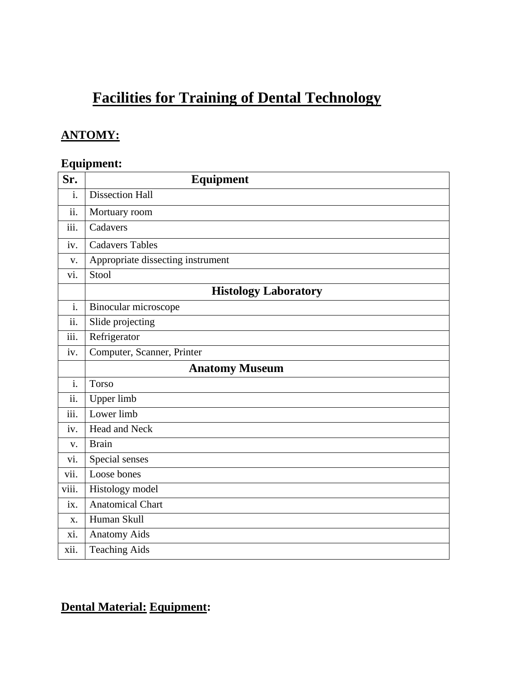# **Facilities for Training of Dental Technology**

## **ANTOMY:**

## **Equipment:**

| Sr.                                      | <b>Equipment</b>                  |
|------------------------------------------|-----------------------------------|
| $\mathbf{i}$ .                           | <b>Dissection Hall</b>            |
| ii.                                      | Mortuary room                     |
| iii.                                     | Cadavers                          |
| iv.                                      | <b>Cadavers Tables</b>            |
| V.                                       | Appropriate dissecting instrument |
| vi.                                      | Stool                             |
|                                          | <b>Histology Laboratory</b>       |
| i.                                       | Binocular microscope              |
| $\overline{\ddot{\mathbf{i}}\mathbf{i}}$ | Slide projecting                  |
| iii.                                     | Refrigerator                      |
| iv.                                      | Computer, Scanner, Printer        |
|                                          | <b>Anatomy Museum</b>             |
| i.                                       | <b>Torso</b>                      |
| ii.                                      | Upper limb                        |
| iii.                                     | Lower limb                        |
| iv.                                      | Head and Neck                     |
| V.                                       | <b>Brain</b>                      |
| vi.                                      | Special senses                    |
| vii.                                     | Loose bones                       |
| viii.                                    | Histology model                   |
| ix.                                      | <b>Anatomical Chart</b>           |
| X.                                       | Human Skull                       |
| xi.                                      | <b>Anatomy Aids</b>               |
| xii.                                     | <b>Teaching Aids</b>              |

## **Dental Material: Equipment:**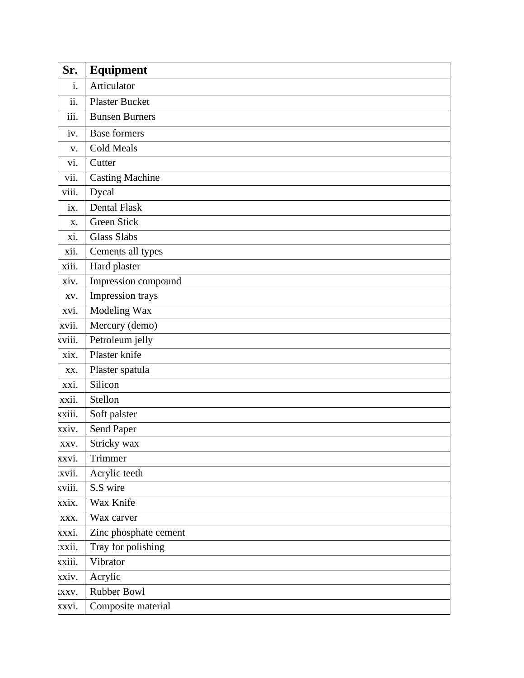| Sr.    | <b>Equipment</b>       |
|--------|------------------------|
| i.     | Articulator            |
| ii.    | <b>Plaster Bucket</b>  |
| iii.   | <b>Bunsen Burners</b>  |
| iv.    | <b>Base formers</b>    |
| V.     | <b>Cold Meals</b>      |
| vi.    | Cutter                 |
| vii.   | <b>Casting Machine</b> |
| viii.  | Dycal                  |
| ix.    | Dental Flask           |
| X.     | <b>Green Stick</b>     |
| xi.    | <b>Glass Slabs</b>     |
| xii.   | Cements all types      |
| xiii.  | Hard plaster           |
| xiv.   | Impression compound    |
| XV.    | Impression trays       |
| xvi.   | Modeling Wax           |
| xvii.  | Mercury (demo)         |
| xviii. | Petroleum jelly        |
| xix.   | Plaster knife          |
| XX.    | Plaster spatula        |
| xxi.   | Silicon                |
| xxii.  | Stellon                |
| xxiii. | Soft palster           |
| xxiv.  | Send Paper             |
| XXV.   | Stricky wax            |
| xxvi.  | Trimmer                |
| xvii.  | Acrylic teeth          |
| xviii. | S.S wire               |
| xxix.  | Wax Knife              |
| XXX.   | Wax carver             |
| xxxi.  | Zinc phosphate cement  |
| xxii.  | Tray for polishing     |
| xxiii. | Vibrator               |
| xxiv.  | Acrylic                |
| XXV.   | Rubber Bowl            |
| xxvi.  | Composite material     |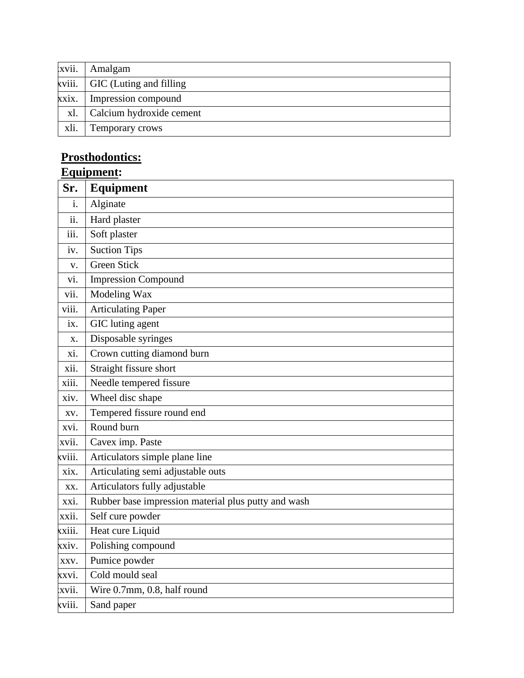| xvii. | Amalgam                        |
|-------|--------------------------------|
|       | kviii. GIC (Luting and filling |
| xxix. | Impression compound            |
| xl.   | Calcium hydroxide cement       |
| xli.  | Temporary crows                |

## **Prosthodontics:**

# **Equipment:**

| Sr.    | <b>Equipment</b>                                    |  |  |  |  |
|--------|-----------------------------------------------------|--|--|--|--|
| i.     | Alginate                                            |  |  |  |  |
| ii.    | Hard plaster                                        |  |  |  |  |
| iii.   | Soft plaster                                        |  |  |  |  |
| iv.    | <b>Suction Tips</b>                                 |  |  |  |  |
| V.     | <b>Green Stick</b>                                  |  |  |  |  |
| vi.    | <b>Impression Compound</b>                          |  |  |  |  |
| vii.   | Modeling Wax                                        |  |  |  |  |
| viii.  | <b>Articulating Paper</b>                           |  |  |  |  |
| ix.    | GIC luting agent                                    |  |  |  |  |
| X.     | Disposable syringes                                 |  |  |  |  |
| xi.    | Crown cutting diamond burn                          |  |  |  |  |
| xii.   | Straight fissure short                              |  |  |  |  |
| xiii.  | Needle tempered fissure                             |  |  |  |  |
| xiv.   | Wheel disc shape                                    |  |  |  |  |
| XV.    | Tempered fissure round end                          |  |  |  |  |
| xvi.   | Round burn                                          |  |  |  |  |
| xvii.  | Cavex imp. Paste                                    |  |  |  |  |
| xviii. | Articulators simple plane line                      |  |  |  |  |
| xix.   | Articulating semi adjustable outs                   |  |  |  |  |
| XX.    | Articulators fully adjustable                       |  |  |  |  |
| xxi.   | Rubber base impression material plus putty and wash |  |  |  |  |
| xxii.  | Self cure powder                                    |  |  |  |  |
| xxiii. | Heat cure Liquid                                    |  |  |  |  |
| xxiv.  | Polishing compound                                  |  |  |  |  |
| XXV.   | Pumice powder                                       |  |  |  |  |
| xxvi.  | Cold mould seal                                     |  |  |  |  |
| xvii.  | Wire 0.7mm, 0.8, half round                         |  |  |  |  |
| xviii. | Sand paper                                          |  |  |  |  |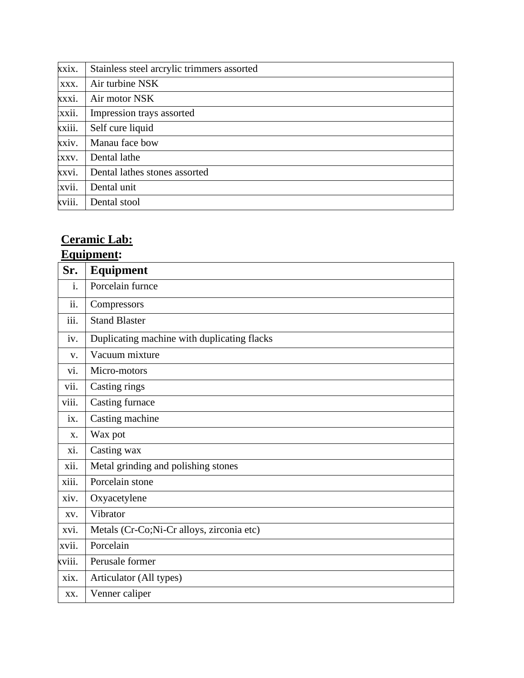| xxix.  | Stainless steel arcrylic trimmers assorted |  |  |  |
|--------|--------------------------------------------|--|--|--|
| XXX.   | Air turbine NSK                            |  |  |  |
| XXXI.  | Air motor NSK                              |  |  |  |
| xxii.  | Impression trays assorted                  |  |  |  |
| xxiii. | Self cure liquid                           |  |  |  |
| xxiv.  | Manau face bow                             |  |  |  |
| XXV.   | Dental lathe                               |  |  |  |
| xxvi.  | Dental lathes stones assorted              |  |  |  |
| xvii.  | Dental unit                                |  |  |  |
| xviii. | Dental stool                               |  |  |  |

# **Ceramic Lab:**

## **Equipment:**

| Sr.    | Equipment                                   |
|--------|---------------------------------------------|
| i.     | Porcelain furnce                            |
| ii.    | Compressors                                 |
| iii.   | <b>Stand Blaster</b>                        |
| iv.    | Duplicating machine with duplicating flacks |
| V.     | Vacuum mixture                              |
| vi.    | Micro-motors                                |
| vii.   | Casting rings                               |
| viii.  | Casting furnace                             |
| ix.    | Casting machine                             |
| X.     | Wax pot                                     |
| xi.    | Casting wax                                 |
| xii.   | Metal grinding and polishing stones         |
| xiii.  | Porcelain stone                             |
| xiv.   | Oxyacetylene                                |
| XV.    | Vibrator                                    |
| xvi.   | Metals (Cr-Co;Ni-Cr alloys, zirconia etc)   |
| xvii.  | Porcelain                                   |
| xviii. | Perusale former                             |
| xix.   | Articulator (All types)                     |
| XX.    | Venner caliper                              |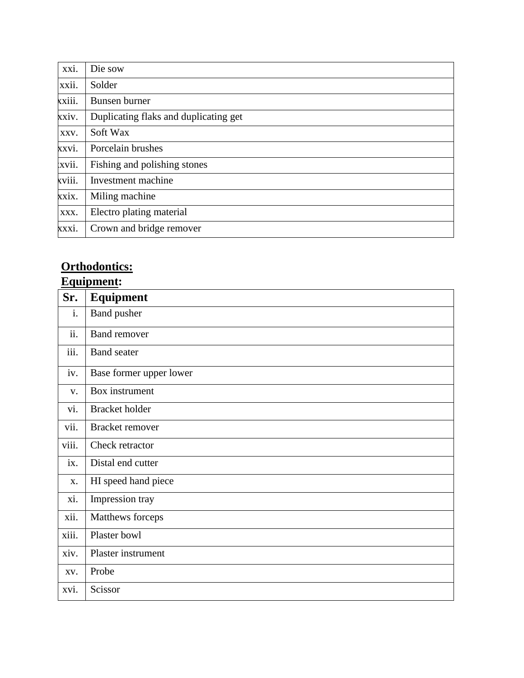| xxi.   | Die sow                               |
|--------|---------------------------------------|
| xxii.  | Solder                                |
| xxiii. | <b>Bunsen</b> burner                  |
| xxiv.  | Duplicating flaks and duplicating get |
| XXV.   | Soft Wax                              |
| xxvi.  | Porcelain brushes                     |
| xvii.  | Fishing and polishing stones          |
| xviii. | Investment machine                    |
| xxix.  | Miling machine                        |
| XXX.   | Electro plating material              |
| xxxi.  | Crown and bridge remover              |

# **Orthodontics:**

# **Equipment:**

| Sr.   | Equipment               |
|-------|-------------------------|
| i.    | <b>Band</b> pusher      |
| ii.   | <b>Band remover</b>     |
| iii.  | <b>Band</b> seater      |
| iv.   | Base former upper lower |
| V.    | Box instrument          |
| vi.   | <b>Bracket</b> holder   |
| vii.  | Bracket remover         |
| viii. | Check retractor         |
| ix.   | Distal end cutter       |
| X.    | HI speed hand piece     |
| xi.   | Impression tray         |
| xii.  | Matthews forceps        |
| xiii. | Plaster bowl            |
| xiv.  | Plaster instrument      |
| XV.   | Probe                   |
| xvi.  | Scissor                 |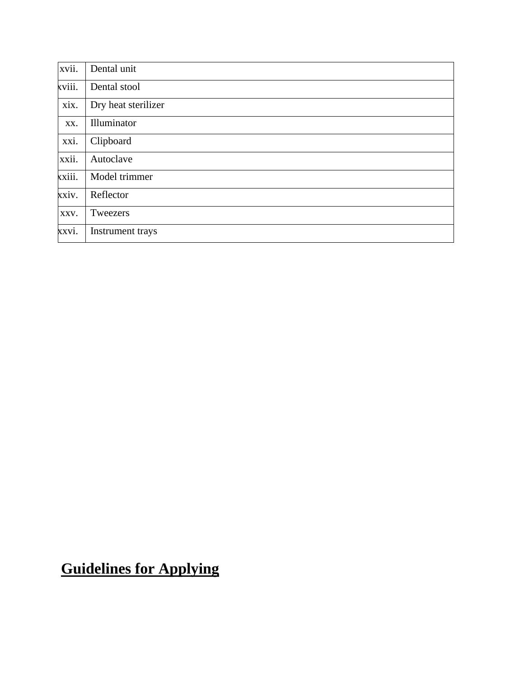| xvii.  | Dental unit         |
|--------|---------------------|
| xviii. | Dental stool        |
| xix.   | Dry heat sterilizer |
| XX.    | Illuminator         |
| xxi.   | Clipboard           |
| xxii.  | Autoclave           |
| xxiii. | Model trimmer       |
| xxiv.  | Reflector           |
| XXV.   | Tweezers            |
| xxvi.  | Instrument trays    |

**Guidelines for Applying**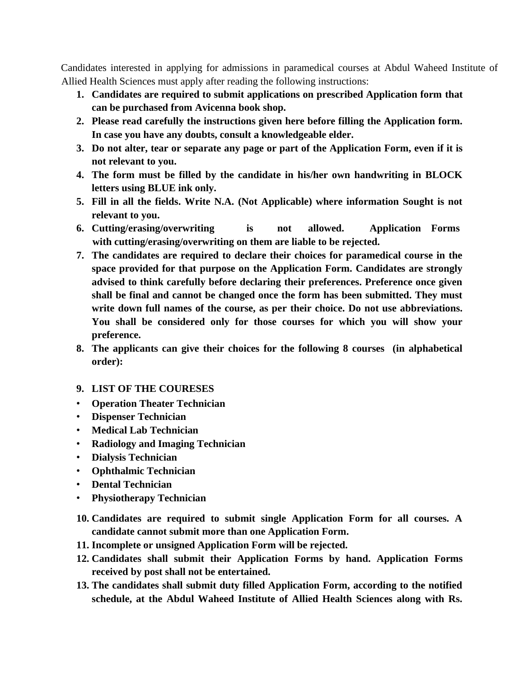Candidates interested in applying for admissions in paramedical courses at Abdul Waheed Institute of Allied Health Sciences must apply after reading the following instructions:

- **1. Candidates are required to submit applications on prescribed Application form that can be purchased from Avicenna book shop.**
- **2. Please read carefully the instructions given here before filling the Application form. In case you have any doubts, consult a knowledgeable elder.**
- **3. Do not alter, tear or separate any page or part of the Application Form, even if it is not relevant to you.**
- **4. The form must be filled by the candidate in his/her own handwriting in BLOCK letters using BLUE ink only.**
- **5. Fill in all the fields. Write N.A. (Not Applicable) where information Sought is not relevant to you.**
- **6. Cutting/erasing/overwriting is not allowed. Application Forms with cutting/erasing/overwriting on them are liable to be rejected.**
- **7. The candidates are required to declare their choices for paramedical course in the space provided for that purpose on the Application Form. Candidates are strongly advised to think carefully before declaring their preferences. Preference once given shall be final and cannot be changed once the form has been submitted. They must write down full names of the course, as per their choice. Do not use abbreviations. You shall be considered only for those courses for which you will show your preference.**
- **8. The applicants can give their choices for the following 8 courses (in alphabetical order):**

#### **9. LIST OF THE COURESES**

- **Operation Theater Technician**
- **Dispenser Technician**
- **Medical Lab Technician**
- **Radiology and Imaging Technician**
- **Dialysis Technician**
- **Ophthalmic Technician**
- **Dental Technician**
- **Physiotherapy Technician**
- **10. Candidates are required to submit single Application Form for all courses. A candidate cannot submit more than one Application Form.**
- **11. Incomplete or unsigned Application Form will be rejected.**
- **12. Candidates shall submit their Application Forms by hand. Application Forms received by post shall not be entertained.**
- **13. The candidates shall submit duty filled Application Form, according to the notified schedule, at the Abdul Waheed Institute of Allied Health Sciences along with Rs.**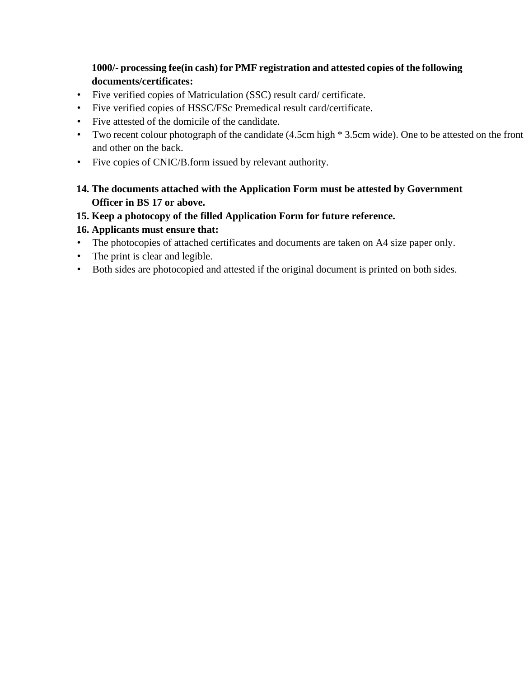#### **1000/- processing fee(in cash) for PMF registration and attested copies of the following documents/certificates:**

- Five verified copies of Matriculation (SSC) result card/ certificate.
- Five verified copies of HSSC/FSc Premedical result card/certificate.
- Five attested of the domicile of the candidate.
- Two recent colour photograph of the candidate (4.5cm high \* 3.5cm wide). One to be attested on the front and other on the back.
- Five copies of CNIC/B.form issued by relevant authority.

#### **14. The documents attached with the Application Form must be attested by Government Officer in BS 17 or above.**

#### **15. Keep a photocopy of the filled Application Form for future reference.**

#### **16. Applicants must ensure that:**

- The photocopies of attached certificates and documents are taken on A4 size paper only.
- The print is clear and legible.
- Both sides are photocopied and attested if the original document is printed on both sides.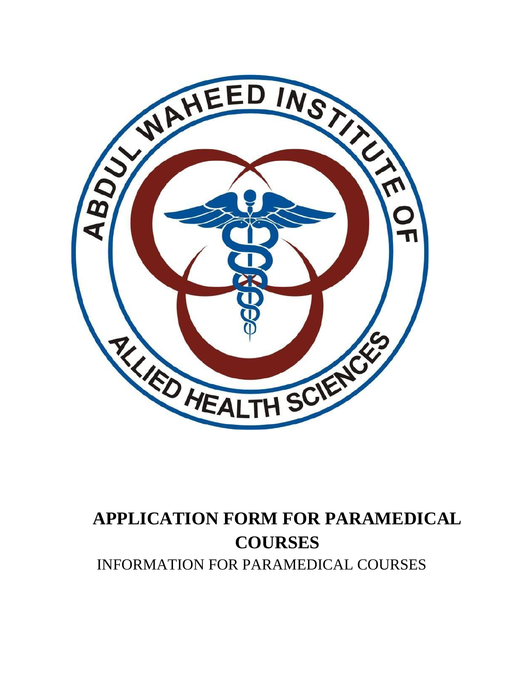

# **APPLICATION FORM FOR PARAMEDICAL COURSES** INFORMATION FOR PARAMEDICAL COURSES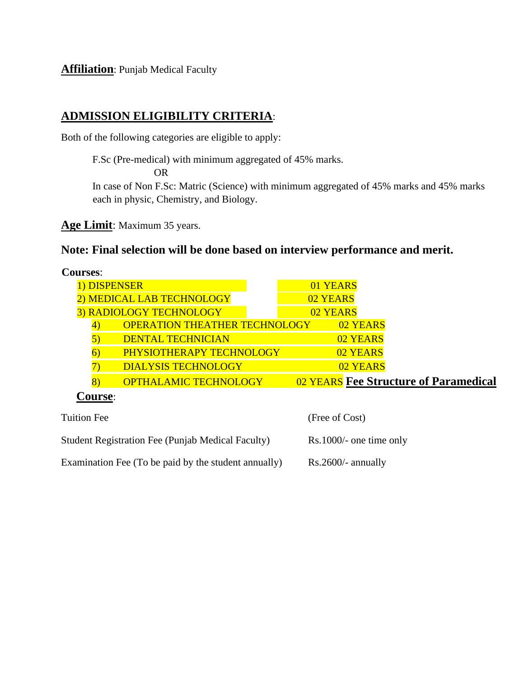**Affiliation**: Punjab Medical Faculty

#### **ADMISSION ELIGIBILITY CRITERIA**:

Both of the following categories are eligible to apply:

F.Sc (Pre-medical) with minimum aggregated of 45% marks.

OR

In case of Non F.Sc: Matric (Science) with minimum aggregated of 45% marks and 45% marks each in physic, Chemistry, and Biology.

**Age Limit**: Maximum 35 years.

## **Note: Final selection will be done based on interview performance and merit.**

| <b>Courses:</b>                            |                                       |
|--------------------------------------------|---------------------------------------|
| 1) DISPENSER                               | 01 YEARS                              |
| <b>MEDICAL LAB TECHNOLOGY</b>              | 02 YEARS                              |
| 3) RADIOLOGY TECHNOLOGY                    | 02 YEARS                              |
| <b>OPERATION THEATHER TECHNOLOGY</b><br>41 | 02 YEARS                              |
| <b>DENTAL TECHNICIAN</b>                   | 02 YEARS                              |
| PHYSIOTHERAPY TECHNOLOGY                   | 02 YEARS                              |
| <b>DIALYSIS TECHNOLOGY</b>                 | 02 YEARS                              |
| <b>OPTHALAMIC TECHNOLOGY</b><br>8)         | 02 YEARS Fee Structure of Paramedical |
| $\mathbf{u}$ iirga $\cdot$                 |                                       |

| <b>Tuition Fee</b>                                       | (Free of Cost)            |
|----------------------------------------------------------|---------------------------|
| <b>Student Registration Fee (Punjab Medical Faculty)</b> | $Rs.1000/-$ one time only |
| Examination Fee (To be paid by the student annually)     | $Rs.2600/-$ annually      |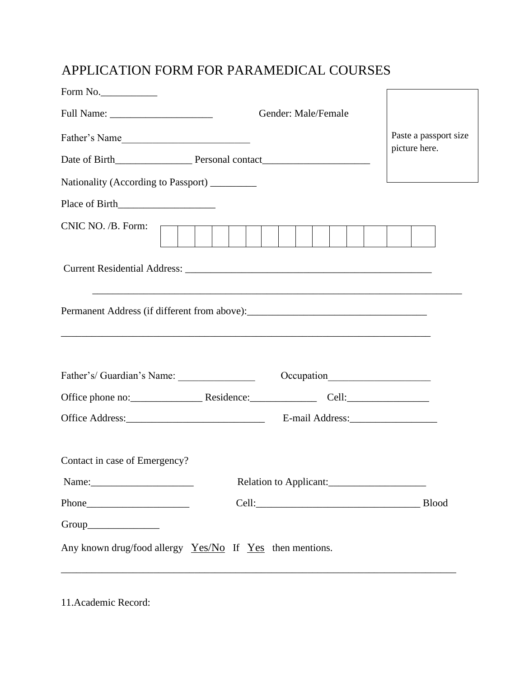## APPLICATION FORM FOR PARAMEDICAL COURSES

| Form No.                                                     |                                                                                   |                        |            |  |  |  |                       |  |
|--------------------------------------------------------------|-----------------------------------------------------------------------------------|------------------------|------------|--|--|--|-----------------------|--|
| Gender: Male/Female                                          |                                                                                   |                        |            |  |  |  |                       |  |
| Father's Name                                                |                                                                                   |                        |            |  |  |  | Paste a passport size |  |
|                                                              |                                                                                   |                        |            |  |  |  | picture here.         |  |
| Nationality (According to Passport) ________                 |                                                                                   |                        |            |  |  |  |                       |  |
|                                                              |                                                                                   |                        |            |  |  |  |                       |  |
| CNIC NO. /B. Form:                                           |                                                                                   |                        |            |  |  |  |                       |  |
|                                                              |                                                                                   |                        |            |  |  |  |                       |  |
|                                                              | ,我们也不能在这里的时候,我们也不能在这里的时候,我们也不能会在这里的时候,我们也不能会在这里的时候,我们也不能会在这里的时候,我们也不能会在这里的时候,我们也不 |                        |            |  |  |  |                       |  |
| Father's/Guardian's Name:                                    |                                                                                   |                        | Occupation |  |  |  |                       |  |
| Office phone no: Residence: Cell: Cell:                      |                                                                                   |                        |            |  |  |  |                       |  |
|                                                              |                                                                                   |                        |            |  |  |  |                       |  |
| Contact in case of Emergency?                                |                                                                                   |                        |            |  |  |  |                       |  |
|                                                              |                                                                                   | Relation to Applicant: |            |  |  |  |                       |  |
|                                                              |                                                                                   |                        |            |  |  |  | <b>Blood</b>          |  |
|                                                              |                                                                                   |                        |            |  |  |  |                       |  |
| Any known drug/food allergy $Yes/No$ If $Yes$ then mentions. |                                                                                   |                        |            |  |  |  |                       |  |

11.Academic Record: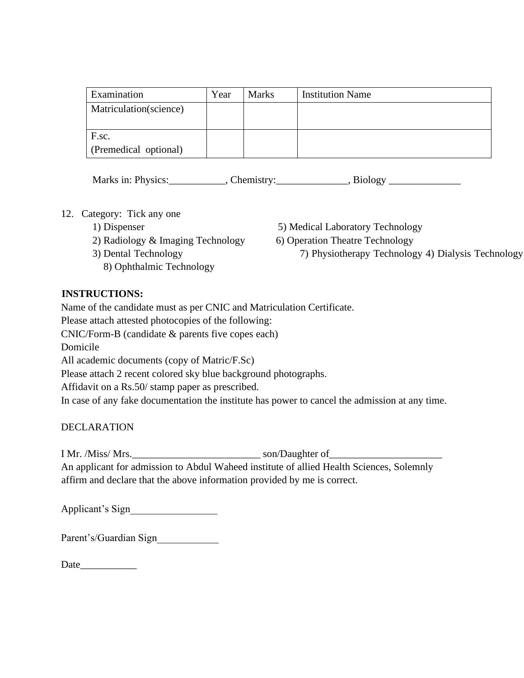| Examination                    | Year | <b>Marks</b> | <b>Institution Name</b> |
|--------------------------------|------|--------------|-------------------------|
| Matriculation(science)         |      |              |                         |
| F.sc.<br>(Premedical optional) |      |              |                         |

Marks in: Physics: Chemistry: Biology Biology Biology Biology Reserves and Allen Biology Reserves and Allen Biology Reserves and Allen Biology Reserves and Allen Biology Reserves and Allen Biology Reserves and Allen Biolog

- 12. Category: Tick any one
	-
	- 2) Radiology & Imaging Technology 6) Operation Theatre Technology
		- - 8) Ophthalmic Technology
	- 1) Dispenser 5) Medical Laboratory Technology
		-
	- 3) Dental Technology 7) Physiotherapy Technology 4) Dialysis Technology

#### **INSTRUCTIONS:**

Name of the candidate must as per CNIC and Matriculation Certificate.

Please attach attested photocopies of the following:

CNIC/Form-B (candidate & parents five copes each)

Domicile

All academic documents (copy of Matric/F.Sc)

Please attach 2 recent colored sky blue background photographs.

Affidavit on a Rs.50/ stamp paper as prescribed.

In case of any fake documentation the institute has power to cancel the admission at any time.

#### DECLARATION

I Mr. /Miss/ Mrs.\_\_\_\_\_\_\_\_\_\_\_\_\_\_\_\_\_\_\_\_\_\_\_\_\_ son/Daughter of\_\_\_\_\_\_\_\_\_\_\_\_\_\_\_\_\_\_\_\_\_\_

An applicant for admission to Abdul Waheed institute of allied Health Sciences, Solemnly affirm and declare that the above information provided by me is correct.

Applicant's Sign\_\_\_\_\_\_\_\_\_\_\_\_\_\_\_\_\_

Parent's/Guardian Sign

Date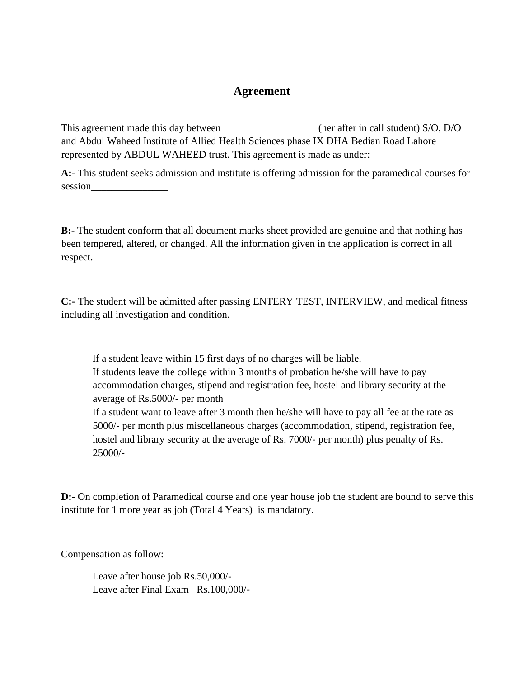#### **Agreement**

This agreement made this day between (her after in call student) S/O, D/O and Abdul Waheed Institute of Allied Health Sciences phase IX DHA Bedian Road Lahore represented by ABDUL WAHEED trust. This agreement is made as under:

**A:-** This student seeks admission and institute is offering admission for the paramedical courses for session\_\_\_\_\_\_\_\_\_\_\_\_\_\_\_

**B:-** The student conform that all document marks sheet provided are genuine and that nothing has been tempered, altered, or changed. All the information given in the application is correct in all respect.

**C:-** The student will be admitted after passing ENTERY TEST, INTERVIEW, and medical fitness including all investigation and condition.

If a student leave within 15 first days of no charges will be liable. If students leave the college within 3 months of probation he/she will have to pay accommodation charges, stipend and registration fee, hostel and library security at the average of Rs.5000/- per month If a student want to leave after 3 month then he/she will have to pay all fee at the rate as 5000/- per month plus miscellaneous charges (accommodation, stipend, registration fee, hostel and library security at the average of Rs. 7000/- per month) plus penalty of Rs. 25000/-

**D:**- On completion of Paramedical course and one year house job the student are bound to serve this institute for 1 more year as job (Total 4 Years) is mandatory.

Compensation as follow:

Leave after house job Rs.50,000/- Leave after Final Exam Rs.100,000/-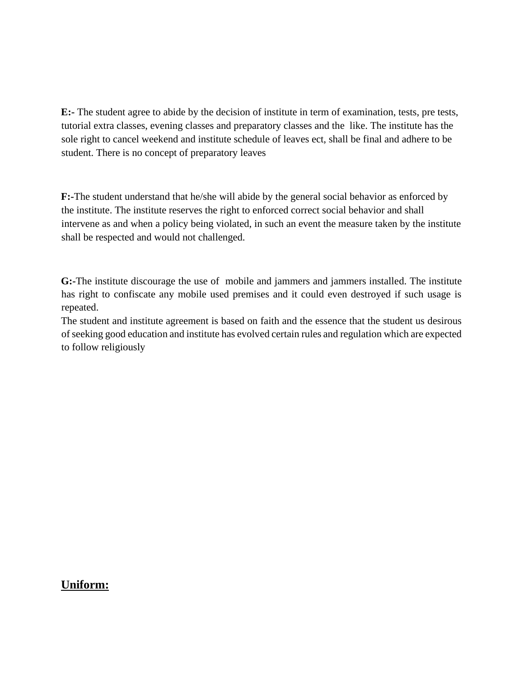**E:-** The student agree to abide by the decision of institute in term of examination, tests, pre tests, tutorial extra classes, evening classes and preparatory classes and the like. The institute has the sole right to cancel weekend and institute schedule of leaves ect, shall be final and adhere to be student. There is no concept of preparatory leaves

**F:-**The student understand that he/she will abide by the general social behavior as enforced by the institute. The institute reserves the right to enforced correct social behavior and shall intervene as and when a policy being violated, in such an event the measure taken by the institute shall be respected and would not challenged.

**G:-**The institute discourage the use of mobile and jammers and jammers installed. The institute has right to confiscate any mobile used premises and it could even destroyed if such usage is repeated.

The student and institute agreement is based on faith and the essence that the student us desirous of seeking good education and institute has evolved certain rules and regulation which are expected to follow religiously

#### **Uniform:**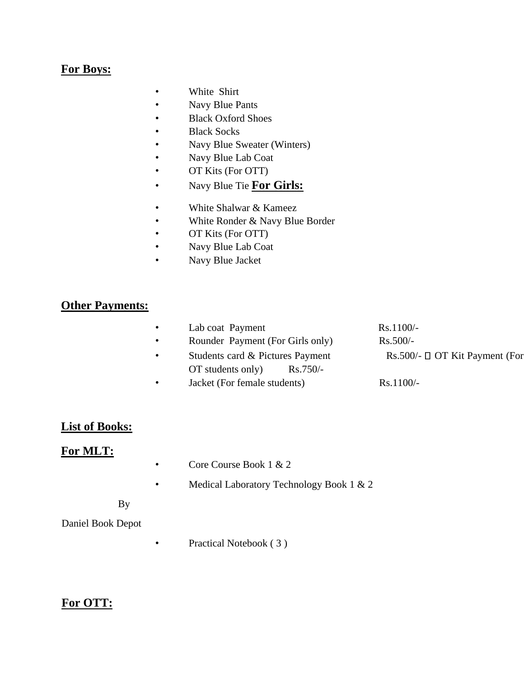#### **For Boys:**

- White Shirt
- Navy Blue Pants
- Black Oxford Shoes
- Black Socks
- Navy Blue Sweater (Winters)
- Navy Blue Lab Coat
- OT Kits (For OTT)
- Navy Blue Tie **For Girls:**
- White Shalwar & Kameez
- White Ronder & Navy Blue Border
- OT Kits (For OTT)
- Navy Blue Lab Coat
- Navy Blue Jacket

#### **Other Payments:**

• Lab coat Payment Rs.1100/-• Rounder Payment (For Girls only) Rs.500/-• Students card & Pictures Payment Rs.500/- OT Kit Payment (For OT students only) Rs.750/- • Jacket (For female students) Rs.1100/-

#### **List of Books:**

#### **For MLT:**

- Core Course Book 1 & 2
- Medical Laboratory Technology Book 1 & 2
- By

#### Daniel Book Depot

• Practical Notebook (3)

#### **For OTT:**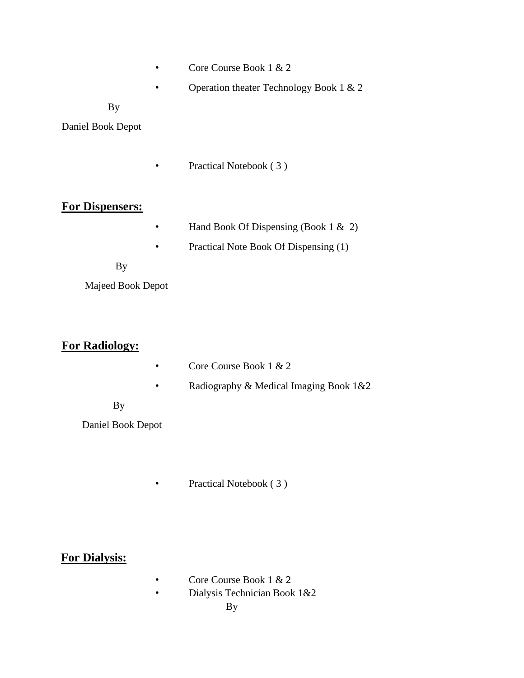- Core Course Book 1 & 2
- Operation theater Technology Book 1 & 2

#### By

Daniel Book Depot

• Practical Notebook (3)

#### **For Dispensers:**

- Hand Book Of Dispensing (Book 1 & 2)
- Practical Note Book Of Dispensing (1)
- By

Majeed Book Depot

### **For Radiology:**

- Core Course Book 1 & 2
- Radiography & Medical Imaging Book 1&2
- By

Daniel Book Depot

• Practical Notebook (3)

### **For Dialysis:**

- Core Course Book 1 & 2
- Dialysis Technician Book 1&2